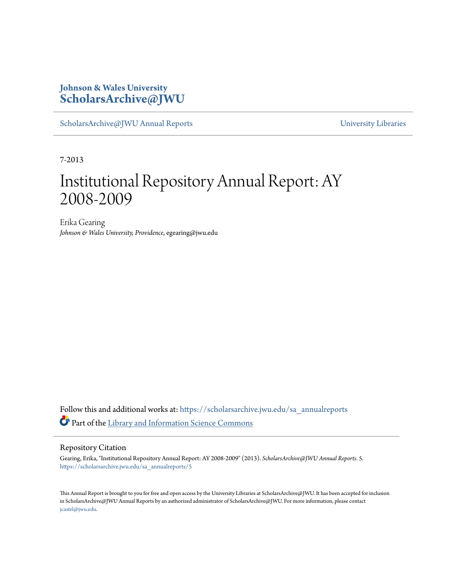### **Johnson & Wales University [ScholarsArchive@JWU](https://scholarsarchive.jwu.edu?utm_source=scholarsarchive.jwu.edu%2Fsa_annualreports%2F5&utm_medium=PDF&utm_campaign=PDFCoverPages)**

[ScholarsArchive@JWU Annual Reports](https://scholarsarchive.jwu.edu/sa_annualreports?utm_source=scholarsarchive.jwu.edu%2Fsa_annualreports%2F5&utm_medium=PDF&utm_campaign=PDFCoverPages) **Example 2018** [University Libraries](https://scholarsarchive.jwu.edu/University_Libraries?utm_source=scholarsarchive.jwu.edu%2Fsa_annualreports%2F5&utm_medium=PDF&utm_campaign=PDFCoverPages)

7-2013

## Institutional Repository Annual Report: AY 2008-2009

Erika Gearing *Johnson & Wales University, Providence*, egearing@jwu.edu

Follow this and additional works at: [https://scholarsarchive.jwu.edu/sa\\_annualreports](https://scholarsarchive.jwu.edu/sa_annualreports?utm_source=scholarsarchive.jwu.edu%2Fsa_annualreports%2F5&utm_medium=PDF&utm_campaign=PDFCoverPages) Part of the [Library and Information Science Commons](http://network.bepress.com/hgg/discipline/1018?utm_source=scholarsarchive.jwu.edu%2Fsa_annualreports%2F5&utm_medium=PDF&utm_campaign=PDFCoverPages)

#### Repository Citation

Gearing, Erika, "Institutional Repository Annual Report: AY 2008-2009" (2013). *ScholarsArchive@JWU Annual Reports*. 5. [https://scholarsarchive.jwu.edu/sa\\_annualreports/5](https://scholarsarchive.jwu.edu/sa_annualreports/5?utm_source=scholarsarchive.jwu.edu%2Fsa_annualreports%2F5&utm_medium=PDF&utm_campaign=PDFCoverPages)

This Annual Report is brought to you for free and open access by the University Libraries at ScholarsArchive@JWU. It has been accepted for inclusion in ScholarsArchive@JWU Annual Reports by an authorized administrator of ScholarsArchive@JWU. For more information, please contact [jcastel@jwu.edu.](mailto:jcastel@jwu.edu)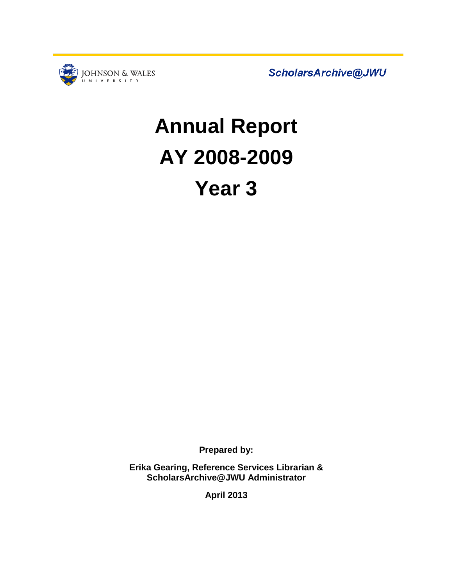

ScholarsArchive@JWU

# **Annual Report AY 2008-2009 Year 3**

**Prepared by:**

**Erika Gearing, Reference Services Librarian & ScholarsArchive@JWU Administrator**

**April 2013**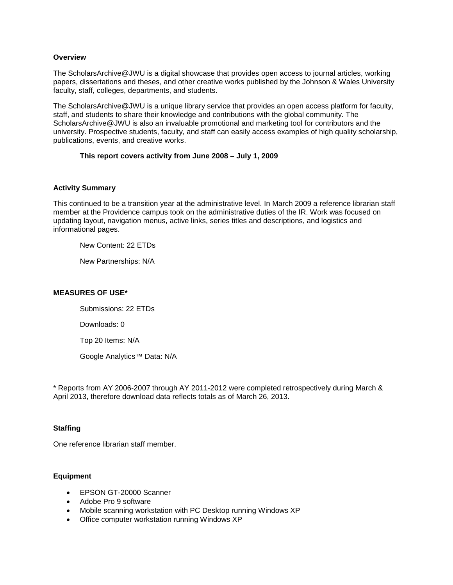#### **Overview**

The ScholarsArchive@JWU is a digital showcase that provides open access to journal articles, working papers, dissertations and theses, and other creative works published by the Johnson & Wales University faculty, staff, colleges, departments, and students.

The ScholarsArchive@JWU is a unique library service that provides an open access platform for faculty, staff, and students to share their knowledge and contributions with the global community. The ScholarsArchive@JWU is also an invaluable promotional and marketing tool for contributors and the university. Prospective students, faculty, and staff can easily access examples of high quality scholarship, publications, events, and creative works.

#### **This report covers activity from June 2008 – July 1, 2009**

#### **Activity Summary**

This continued to be a transition year at the administrative level. In March 2009 a reference librarian staff member at the Providence campus took on the administrative duties of the IR. Work was focused on updating layout, navigation menus, active links, series titles and descriptions, and logistics and informational pages.

New Content: 22 ETDs

New Partnerships: N/A

#### **MEASURES OF USE\***

Submissions: 22 ETDs

Downloads: 0

Top 20 Items: N/A

Google Analytics™ Data: N/A

\* Reports from AY 2006-2007 through AY 2011-2012 were completed retrospectively during March & April 2013, therefore download data reflects totals as of March 26, 2013.

#### **Staffing**

One reference librarian staff member.

#### **Equipment**

- EPSON GT-20000 Scanner
- Adobe Pro 9 software
- Mobile scanning workstation with PC Desktop running Windows XP
- Office computer workstation running Windows XP